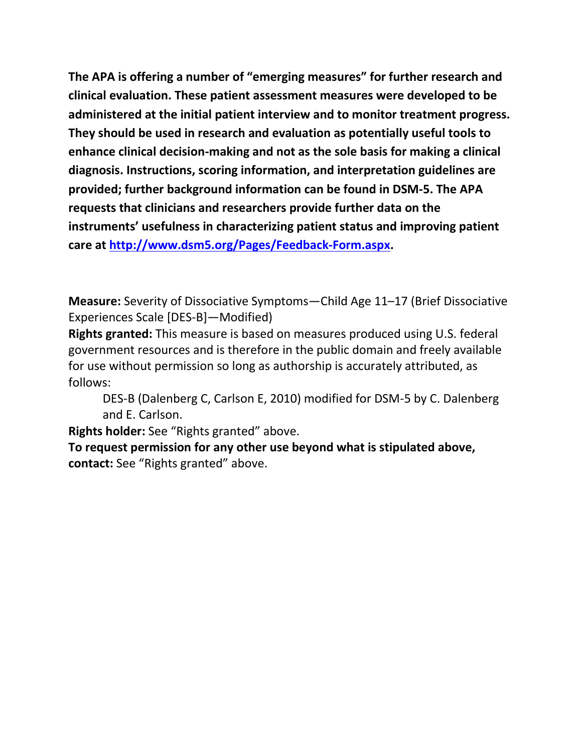**The APA is offering a number of "emerging measures" for further research and clinical evaluation. These patient assessment measures were developed to be administered at the initial patient interview and to monitor treatment progress. They should be used in research and evaluation as potentially useful tools to enhance clinical decision-making and not as the sole basis for making a clinical diagnosis. Instructions, scoring information, and interpretation guidelines are provided; further background information can be found in DSM-5. The APA requests that clinicians and researchers provide further data on the instruments' usefulness in characterizing patient status and improving patient care at [http://www.dsm5.org/Pages/Feedback-Form.aspx.](http://www.dsm5.org/Pages/Feedback-Form.aspx)**

**Measure:** Severity of Dissociative Symptoms—Child Age 11–17 (Brief Dissociative Experiences Scale [DES-B]—Modified)

**Rights granted:** This measure is based on measures produced using U.S. federal government resources and is therefore in the public domain and freely available for use without permission so long as authorship is accurately attributed, as follows:

DES-B (Dalenberg C, Carlson E, 2010) modified for DSM-5 by C. Dalenberg and E. Carlson.

**Rights holder:** See "Rights granted" above.

**To request permission for any other use beyond what is stipulated above, contact:** See "Rights granted" above.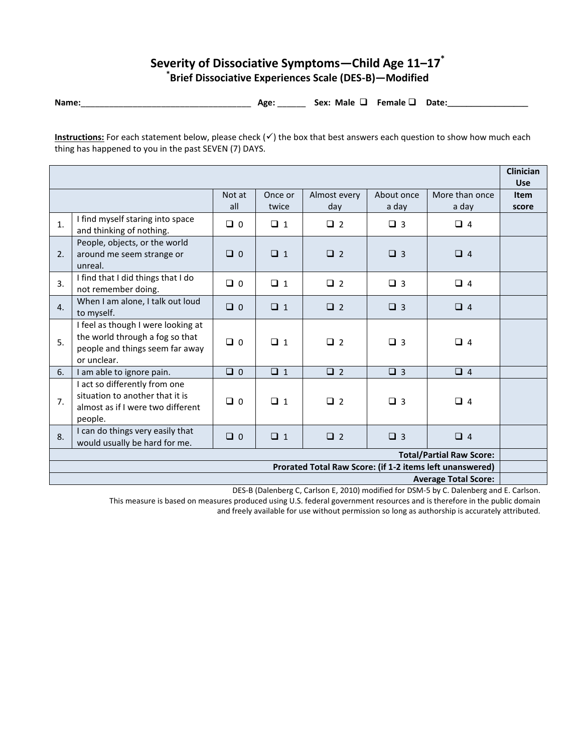## **Severity of Dissociative Symptoms—Child Age 11–17\* \* Brief Dissociative Experiences Scale (DES-B)—Modified**

**Name:**\_\_\_\_\_\_\_\_\_\_\_\_\_\_\_\_\_\_\_\_\_\_\_\_\_\_\_\_\_\_\_\_\_\_\_\_ **Age:** \_\_\_\_\_\_ **Sex: Male Female Date:\_\_\_\_\_\_\_\_\_\_\_\_\_\_\_\_\_**

**Instructions:** For each statement below, please check  $(\checkmark)$  the box that best answers each question to show how much each thing has happened to you in the past SEVEN (7) DAYS.

|                                                          |                                                                                                                         |               |                  |                     |                     |                         | <b>Clinician</b><br><b>Use</b> |
|----------------------------------------------------------|-------------------------------------------------------------------------------------------------------------------------|---------------|------------------|---------------------|---------------------|-------------------------|--------------------------------|
|                                                          |                                                                                                                         | Not at<br>all | Once or<br>twice | Almost every<br>day | About once<br>a day | More than once<br>a day | <b>Item</b><br>score           |
| 1.                                                       | I find myself staring into space<br>and thinking of nothing.                                                            | $\Box$ 0      | $\Box$ 1         | $\Box$ 2            | $\Box$ 3            | $\Box$ 4                |                                |
| 2.                                                       | People, objects, or the world<br>around me seem strange or<br>unreal.                                                   | $\Box$ 0      | $\Box$ 1         | $\Box$ 2            | $\Box$ 3            | $\Box$ 4                |                                |
| 3.                                                       | I find that I did things that I do<br>not remember doing.                                                               | $\Box$ 0      | $\Box$ 1         | $\Box$ 2            | $\Box$ 3            | $\Box$ 4                |                                |
| 4.                                                       | When I am alone, I talk out loud<br>to myself.                                                                          | $\Box$ 0      | $\Box$ 1         | $\Box$ 2            | $\Box$ 3            | $\Box$ 4                |                                |
| 5.                                                       | I feel as though I were looking at<br>the world through a fog so that<br>people and things seem far away<br>or unclear. | $\Box$ 0      | $\Box$ 1         | $\Box$ 2            | $\Box$ 3            | $\Box$ 4                |                                |
| 6.                                                       | I am able to ignore pain.                                                                                               | $\Box$ 0      | $\Box$ 1         | $\Box$ 2            | $\Box$ 3            | $\Box$ 4                |                                |
| 7.                                                       | I act so differently from one<br>situation to another that it is<br>almost as if I were two different<br>people.        | $\Box$ 0      | $\Box$ 1         | $\Box$ 2            | $\Box$ 3            | $\Box$ 4                |                                |
| 8.                                                       | I can do things very easily that<br>would usually be hard for me.                                                       | $\Box$ 0      | $\Box$ 1         | $\Box$ 2            | $\Box$ 3            | $\Box$ 4                |                                |
| <b>Total/Partial Raw Score:</b>                          |                                                                                                                         |               |                  |                     |                     |                         |                                |
| Prorated Total Raw Score: (if 1-2 items left unanswered) |                                                                                                                         |               |                  |                     |                     |                         |                                |
| <b>Average Total Score:</b>                              |                                                                                                                         |               |                  |                     |                     |                         |                                |

DES-B (Dalenberg C, Carlson E, 2010) modified for DSM-5 by C. Dalenberg and E. Carlson.

This measure is based on measures produced using U.S. federal government resources and is therefore in the public domain and freely available for use without permission so long as authorship is accurately attributed.